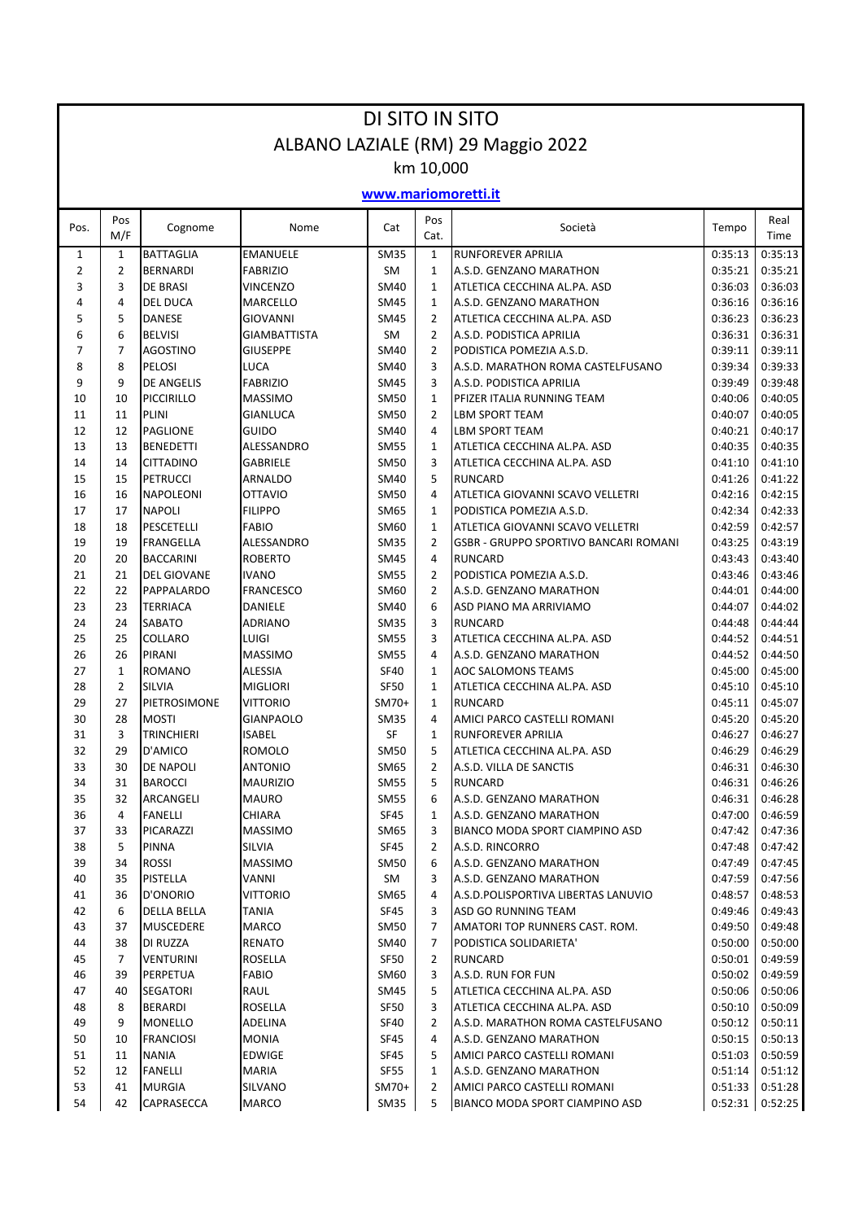| DI SITO IN SITO                    |                |                                     |                                   |                            |                                |                                                         |                    |                    |  |  |  |  |  |  |  |
|------------------------------------|----------------|-------------------------------------|-----------------------------------|----------------------------|--------------------------------|---------------------------------------------------------|--------------------|--------------------|--|--|--|--|--|--|--|
| ALBANO LAZIALE (RM) 29 Maggio 2022 |                |                                     |                                   |                            |                                |                                                         |                    |                    |  |  |  |  |  |  |  |
| km 10,000<br>www.mariomoretti.it   |                |                                     |                                   |                            |                                |                                                         |                    |                    |  |  |  |  |  |  |  |
|                                    |                |                                     |                                   |                            |                                |                                                         |                    |                    |  |  |  |  |  |  |  |
| Pos.                               | Pos<br>M/F     | Cognome                             | Nome                              | Cat                        | Pos<br>Cat.                    | Società                                                 | Tempo              | Real<br>Time       |  |  |  |  |  |  |  |
| $\mathbf{1}$                       | $\mathbf{1}$   | <b>BATTAGLIA</b>                    | <b>EMANUELE</b>                   | <b>SM35</b>                | $\mathbf{1}$                   | <b>RUNFOREVER APRILIA</b>                               | 0:35:13            | 0:35:13            |  |  |  |  |  |  |  |
| $\overline{2}$                     | $\overline{2}$ | <b>BERNARDI</b>                     | <b>FABRIZIO</b>                   | SM                         | $\mathbf{1}$                   | A.S.D. GENZANO MARATHON                                 | 0:35:21            | 0:35:21            |  |  |  |  |  |  |  |
| 3                                  | 3              | <b>DE BRASI</b>                     | VINCENZO                          | <b>SM40</b>                | $\mathbf{1}$                   | ATLETICA CECCHINA AL.PA. ASD                            | 0:36:03            | 0:36:03            |  |  |  |  |  |  |  |
| 4<br>5                             | 4<br>5         | <b>DEL DUCA</b><br><b>DANESE</b>    | MARCELLO<br>GIOVANNI              | <b>SM45</b><br><b>SM45</b> | $\mathbf{1}$<br>$\overline{2}$ | A.S.D. GENZANO MARATHON<br>ATLETICA CECCHINA AL.PA. ASD | 0:36:16<br>0:36:23 | 0:36:16<br>0:36:23 |  |  |  |  |  |  |  |
| 6                                  | 6              | <b>BELVISI</b>                      | <b>GIAMBATTISTA</b>               | SM                         | $\overline{2}$                 | A.S.D. PODISTICA APRILIA                                | 0:36:31            | 0:36:31            |  |  |  |  |  |  |  |
| $\overline{7}$                     | $\overline{7}$ | <b>AGOSTINO</b>                     | <b>GIUSEPPE</b>                   | <b>SM40</b>                | $\overline{2}$                 | PODISTICA POMEZIA A.S.D.                                | 0:39:11            | 0:39:11            |  |  |  |  |  |  |  |
| 8                                  | 8              | PELOSI                              | LUCA                              | <b>SM40</b>                | 3                              | A.S.D. MARATHON ROMA CASTELFUSANO                       | 0:39:34            | 0:39:33            |  |  |  |  |  |  |  |
| 9                                  | 9              | <b>DE ANGELIS</b>                   | <b>FABRIZIO</b>                   | <b>SM45</b>                | 3                              | A.S.D. PODISTICA APRILIA                                | 0:39:49            | 0:39:48            |  |  |  |  |  |  |  |
| 10                                 | 10             | PICCIRILLO                          | <b>MASSIMO</b>                    | <b>SM50</b>                | 1                              | PFIZER ITALIA RUNNING TEAM                              | 0:40:06            | 0:40:05            |  |  |  |  |  |  |  |
| 11                                 | 11             | <b>PLINI</b>                        | GIANLUCA                          | <b>SM50</b>                | $\overline{2}$                 | <b>LBM SPORT TEAM</b>                                   | 0:40:07            | 0:40:05            |  |  |  |  |  |  |  |
| 12                                 | 12             | <b>PAGLIONE</b>                     | GUIDO                             | SM40                       | 4                              | <b>LBM SPORT TEAM</b>                                   | 0:40:21            | 0:40:17            |  |  |  |  |  |  |  |
| 13                                 | 13             | <b>BENEDETTI</b>                    | ALESSANDRO                        | <b>SM55</b>                | 1                              | ATLETICA CECCHINA AL.PA. ASD                            | 0:40:35            | 0:40:35            |  |  |  |  |  |  |  |
| 14<br>15                           | 14<br>15       | <b>CITTADINO</b><br><b>PETRUCCI</b> | <b>GABRIELE</b><br><b>ARNALDO</b> | <b>SM50</b><br>SM40        | 3<br>5                         | ATLETICA CECCHINA AL.PA. ASD<br><b>RUNCARD</b>          | 0:41:10<br>0:41:26 | 0:41:10<br>0:41:22 |  |  |  |  |  |  |  |
| 16                                 | 16             | <b>NAPOLEONI</b>                    | <b>OTTAVIO</b>                    | <b>SM50</b>                | 4                              | ATLETICA GIOVANNI SCAVO VELLETRI                        | 0:42:16            | 0:42:15            |  |  |  |  |  |  |  |
| 17                                 | 17             | <b>NAPOLI</b>                       | <b>FILIPPO</b>                    | SM65                       | $\mathbf{1}$                   | PODISTICA POMEZIA A.S.D.                                | 0:42:34            | 0:42:33            |  |  |  |  |  |  |  |
| 18                                 | 18             | PESCETELLI                          | <b>FABIO</b>                      | SM60                       | $\mathbf{1}$                   | ATLETICA GIOVANNI SCAVO VELLETRI                        | 0:42:59            | 0:42:57            |  |  |  |  |  |  |  |
| 19                                 | 19             | FRANGELLA                           | ALESSANDRO                        | <b>SM35</b>                | $\overline{2}$                 | <b>GSBR - GRUPPO SPORTIVO BANCARI ROMANI</b>            | 0:43:25            | 0:43:19            |  |  |  |  |  |  |  |
| 20                                 | 20             | <b>BACCARINI</b>                    | <b>ROBERTO</b>                    | SM45                       | 4                              | <b>RUNCARD</b>                                          | 0:43:43            | 0:43:40            |  |  |  |  |  |  |  |
| 21                                 | 21             | <b>DEL GIOVANE</b>                  | <b>IVANO</b>                      | <b>SM55</b>                | $\overline{2}$                 | PODISTICA POMEZIA A.S.D.                                | 0:43:46            | 0:43:46            |  |  |  |  |  |  |  |
| 22                                 | 22             | PAPPALARDO                          | <b>FRANCESCO</b>                  | SM60                       | 2                              | A.S.D. GENZANO MARATHON                                 | 0:44:01            | 0:44:00            |  |  |  |  |  |  |  |
| 23                                 | 23             | <b>TERRIACA</b>                     | DANIELE                           | <b>SM40</b>                | 6                              | ASD PIANO MA ARRIVIAMO                                  | 0:44:07            | 0:44:02            |  |  |  |  |  |  |  |
| 24                                 | 24<br>25       | <b>SABATO</b><br><b>COLLARO</b>     | ADRIANO<br>LUIGI                  | <b>SM35</b>                | 3<br>3                         | <b>RUNCARD</b><br>ATLETICA CECCHINA AL.PA. ASD          | 0:44:48            | 0:44:44<br>0:44:51 |  |  |  |  |  |  |  |
| 25<br>26                           | 26             | PIRANI                              | <b>MASSIMO</b>                    | <b>SM55</b><br><b>SM55</b> | 4                              | A.S.D. GENZANO MARATHON                                 | 0:44:52<br>0:44:52 | 0:44:50            |  |  |  |  |  |  |  |
| 27                                 | $\mathbf{1}$   | <b>ROMANO</b>                       | <b>ALESSIA</b>                    | <b>SF40</b>                | $\mathbf{1}$                   | <b>AOC SALOMONS TEAMS</b>                               | 0:45:00            | 0:45:00            |  |  |  |  |  |  |  |
| 28                                 | 2              | <b>SILVIA</b>                       | <b>MIGLIORI</b>                   | <b>SF50</b>                | $\mathbf{1}$                   | ATLETICA CECCHINA AL.PA. ASD                            | 0:45:10            | 0:45:10            |  |  |  |  |  |  |  |
| 29                                 | 27             | PIETROSIMONE                        | VITTORIO                          | SM70+                      | $\mathbf{1}$                   | <b>RUNCARD</b>                                          | 0:45:11            | 0:45:07            |  |  |  |  |  |  |  |
| 30                                 | 28             | <b>MOSTI</b>                        | GIANPAOLO                         | <b>SM35</b>                | 4                              | AMICI PARCO CASTELLI ROMANI                             | 0:45:20            | 0:45:20            |  |  |  |  |  |  |  |
| 31                                 | 3              | <b>TRINCHIERI</b>                   | ISABEL                            | SF                         | 1                              | <b>RUNFOREVER APRILIA</b>                               | 0:46:27            | 0:46:27            |  |  |  |  |  |  |  |
| 32                                 | 29             | D'AMICO                             | ROMOLO                            | SM50                       | 5                              | ATLETICA CECCHINA AL.PA. ASD                            | 0:46:29            | 0:46:29            |  |  |  |  |  |  |  |
| 33                                 | 30             | DE NAPOLI                           | ANTONIO                           | SM65                       | 2                              | A.S.D. VILLA DE SANCTIS                                 | 0:46:31            | 0:46:30            |  |  |  |  |  |  |  |
| 34                                 | 31             | <b>BAROCCI</b>                      | <b>MAURIZIO</b>                   | <b>SM55</b>                | 5                              | <b>RUNCARD</b>                                          | 0:46:31            | 0:46:26            |  |  |  |  |  |  |  |
| 35<br>36                           | 32<br>4        | ARCANGELI<br><b>FANELLI</b>         | <b>MAURO</b><br>CHIARA            | <b>SM55</b><br>SF45        | 6<br>1                         | A.S.D. GENZANO MARATHON<br>A.S.D. GENZANO MARATHON      | 0:46:31<br>0:47:00 | 0:46:28<br>0:46:59 |  |  |  |  |  |  |  |
| 37                                 | 33             | PICARAZZI                           | <b>MASSIMO</b>                    | SM65                       | 3                              | <b>BIANCO MODA SPORT CIAMPINO ASD</b>                   | 0:47:42            | 0:47:36            |  |  |  |  |  |  |  |
| 38                                 | 5              | PINNA                               | SILVIA                            | SF45                       | $\overline{2}$                 | A.S.D. RINCORRO                                         | 0:47:48            | 0:47:42            |  |  |  |  |  |  |  |
| 39                                 | 34             | <b>ROSSI</b>                        | <b>MASSIMO</b>                    | <b>SM50</b>                | 6                              | A.S.D. GENZANO MARATHON                                 | 0:47:49            | 0:47:45            |  |  |  |  |  |  |  |
| 40                                 | 35             | PISTELLA                            | VANNI                             | SM                         | 3                              | A.S.D. GENZANO MARATHON                                 | 0:47:59            | 0:47:56            |  |  |  |  |  |  |  |
| 41                                 | 36             | D'ONORIO                            | <b>VITTORIO</b>                   | SM65                       | 4                              | A.S.D. POLISPORTIVA LIBERTAS LANUVIO                    | 0:48:57            | 0:48:53            |  |  |  |  |  |  |  |
| 42                                 | 6              | <b>DELLA BELLA</b>                  | TANIA                             | SF45                       | 3                              | ASD GO RUNNING TEAM                                     | 0:49:46            | 0:49:43            |  |  |  |  |  |  |  |
| 43                                 | 37             | <b>MUSCEDERE</b>                    | MARCO                             | SM50                       | $\overline{7}$                 | AMATORI TOP RUNNERS CAST. ROM.                          | 0:49:50            | 0:49:48            |  |  |  |  |  |  |  |
| 44                                 | 38             | DI RUZZA                            | RENATO                            | SM40                       | $\overline{7}$                 | PODISTICA SOLIDARIETA'                                  | 0:50:00            | 0:50:00            |  |  |  |  |  |  |  |
| 45                                 | 7              | <b>VENTURINI</b>                    | ROSELLA                           | <b>SF50</b>                | 2                              | <b>RUNCARD</b>                                          | 0:50:01            | 0:49:59            |  |  |  |  |  |  |  |
| 46<br>47                           | 39<br>40       | PERPETUA<br>SEGATORI                | FABIO<br>RAUL                     | SM60<br>SM45               | 3<br>5                         | A.S.D. RUN FOR FUN<br>ATLETICA CECCHINA AL.PA. ASD      | 0:50:02<br>0:50:06 | 0:49:59<br>0:50:06 |  |  |  |  |  |  |  |
| 48                                 | 8              | BERARDI                             | ROSELLA                           | <b>SF50</b>                | 3                              | ATLETICA CECCHINA AL.PA. ASD                            | 0:50:10            | 0:50:09            |  |  |  |  |  |  |  |
| 49                                 | 9              | <b>MONELLO</b>                      | ADELINA                           | <b>SF40</b>                | $\overline{2}$                 | A.S.D. MARATHON ROMA CASTELFUSANO                       | 0:50:12            | 0:50:11            |  |  |  |  |  |  |  |
| 50                                 | 10             | <b>FRANCIOSI</b>                    | MONIA                             | SF45                       | 4                              | A.S.D. GENZANO MARATHON                                 | 0:50:15            | 0:50:13            |  |  |  |  |  |  |  |
| 51                                 | 11             | <b>NANIA</b>                        | EDWIGE                            | SF45                       | 5                              | AMICI PARCO CASTELLI ROMANI                             | 0:51:03            | 0:50:59            |  |  |  |  |  |  |  |
| 52                                 | 12             | FANELLI                             | MARIA                             | SF55                       | 1                              | A.S.D. GENZANO MARATHON                                 | 0:51:14            | 0:51:12            |  |  |  |  |  |  |  |
| 53                                 | 41             | <b>MURGIA</b>                       | SILVANO                           | SM70+                      | $\overline{2}$                 | AMICI PARCO CASTELLI ROMANI                             | 0:51:33            | 0:51:28            |  |  |  |  |  |  |  |
| 54                                 | 42             | CAPRASECCA                          | MARCO                             | SM35                       | 5                              | <b>BIANCO MODA SPORT CIAMPINO ASD</b>                   | 0:52:31            | 0:52:25            |  |  |  |  |  |  |  |